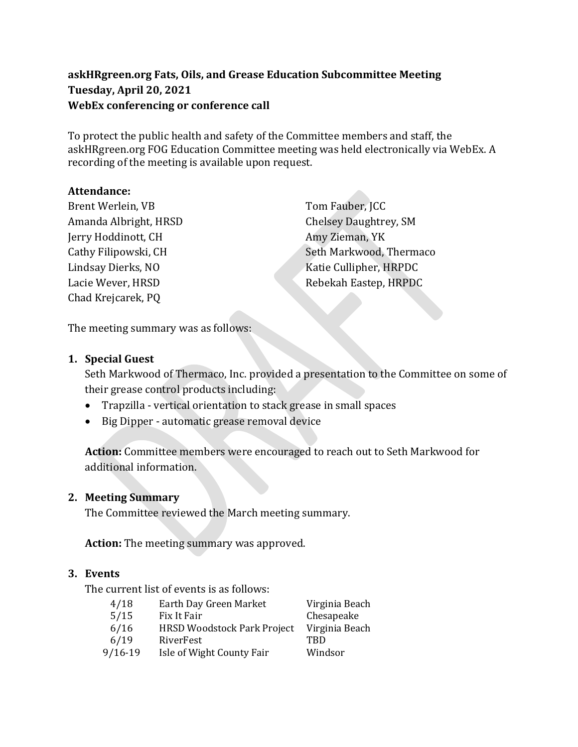## **askHRgreen.org Fats, Oils, and Grease Education Subcommittee Meeting Tuesday, April 20, 2021 WebEx conferencing or conference call**

To protect the public health and safety of the Committee members and staff, the askHRgreen.org FOG Education Committee meeting was held electronically via WebEx. A recording of the meeting is available upon request.

### **Attendance:**

Brent Werlein, VB Amanda Albright, HRSD Jerry Hoddinott, CH Cathy Filipowski, CH Lindsay Dierks, NO Lacie Wever, HRSD Chad Krejcarek, PQ

Tom Fauber, JCC Chelsey Daughtrey, SM Amy Zieman, YK Seth Markwood, Thermaco Katie Cullipher, HRPDC Rebekah Eastep, HRPDC

The meeting summary was as follows:

### **1. Special Guest**

Seth Markwood of Thermaco, Inc. provided a presentation to the Committee on some of their grease control products including:

- Trapzilla vertical orientation to stack grease in small spaces
- Big Dipper automatic grease removal device

**Action:** Committee members were encouraged to reach out to Seth Markwood for additional information.

### **2. Meeting Summary**

The Committee reviewed the March meeting summary.

**Action:** The meeting summary was approved.

### **3. Events**

The current list of events is as follows:

| 4/18    | Earth Day Green Market      | Virginia Beach |
|---------|-----------------------------|----------------|
| 5/15    | Fix It Fair                 | Chesapeake     |
| 6/16    | HRSD Woodstock Park Project | Virginia Beach |
| 6/19    | RiverFest                   | TRD            |
| 9/16-19 | Isle of Wight County Fair   | Windsor        |
|         |                             |                |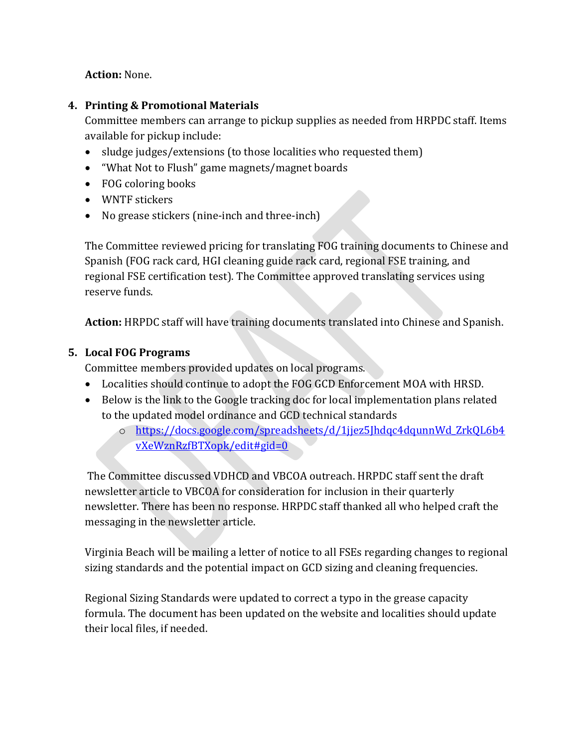**Action:** None.

## **4. Printing & Promotional Materials**

Committee members can arrange to pickup supplies as needed from HRPDC staff. Items available for pickup include:

- sludge judges/extensions (to those localities who requested them)
- "What Not to Flush" game magnets/magnet boards
- FOG coloring books
- WNTF stickers
- No grease stickers (nine-inch and three-inch)

The Committee reviewed pricing for translating FOG training documents to Chinese and Spanish (FOG rack card, HGI cleaning guide rack card, regional FSE training, and regional FSE certification test). The Committee approved translating services using reserve funds.

**Action:** HRPDC staff will have training documents translated into Chinese and Spanish.

# **5. Local FOG Programs**

Committee members provided updates on local programs.

- Localities should continue to adopt the FOG GCD Enforcement MOA with HRSD.
- Below is the link to the Google tracking doc for local implementation plans related to the updated model ordinance and GCD technical standards
	- o [https://docs.google.com/spreadsheets/d/1jjez5Jhdqc4dqunnWd\\_ZrkQL6b4](https://docs.google.com/spreadsheets/d/1jjez5Jhdqc4dqunnWd_ZrkQL6b4vXeWznRzfBTXopk/edit#gid=0) [vXeWznRzfBTXopk/edit#gid=0](https://docs.google.com/spreadsheets/d/1jjez5Jhdqc4dqunnWd_ZrkQL6b4vXeWznRzfBTXopk/edit#gid=0)

The Committee discussed VDHCD and VBCOA outreach. HRPDC staff sent the draft newsletter article to VBCOA for consideration for inclusion in their quarterly newsletter. There has been no response. HRPDC staff thanked all who helped craft the messaging in the newsletter article.

Virginia Beach will be mailing a letter of notice to all FSEs regarding changes to regional sizing standards and the potential impact on GCD sizing and cleaning frequencies.

Regional Sizing Standards were updated to correct a typo in the grease capacity formula. The document has been updated on the website and localities should update their local files, if needed.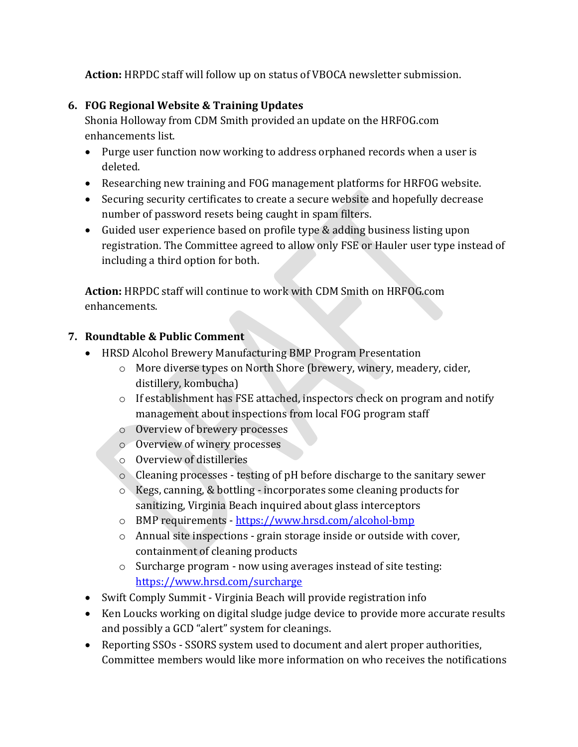**Action:** HRPDC staff will follow up on status of VBOCA newsletter submission.

## **6. FOG Regional Website & Training Updates**

Shonia Holloway from CDM Smith provided an update on the HRFOG.com enhancements list.

- Purge user function now working to address orphaned records when a user is deleted.
- Researching new training and FOG management platforms for HRFOG website.
- Securing security certificates to create a secure website and hopefully decrease number of password resets being caught in spam filters.
- Guided user experience based on profile type & adding business listing upon registration. The Committee agreed to allow only FSE or Hauler user type instead of including a third option for both.

**Action:** HRPDC staff will continue to work with CDM Smith on HRFOG.com enhancements.

# **7. Roundtable & Public Comment**

- HRSD Alcohol Brewery Manufacturing BMP Program Presentation
	- o More diverse types on North Shore (brewery, winery, meadery, cider, distillery, kombucha)
	- o If establishment has FSE attached, inspectors check on program and notify management about inspections from local FOG program staff
	- o Overview of brewery processes
	- o Overview of winery processes
	- o Overview of distilleries
	- o Cleaning processes testing of pH before discharge to the sanitary sewer
	- o Kegs, canning, & bottling incorporates some cleaning products for sanitizing, Virginia Beach inquired about glass interceptors
	- o BMP requirements <https://www.hrsd.com/alcohol-bmp>
	- o Annual site inspections grain storage inside or outside with cover, containment of cleaning products
	- o Surcharge program now using averages instead of site testing: <https://www.hrsd.com/surcharge>
- Swift Comply Summit Virginia Beach will provide registration info
- Ken Loucks working on digital sludge judge device to provide more accurate results and possibly a GCD "alert" system for cleanings.
- Reporting SSOs SSORS system used to document and alert proper authorities, Committee members would like more information on who receives the notifications